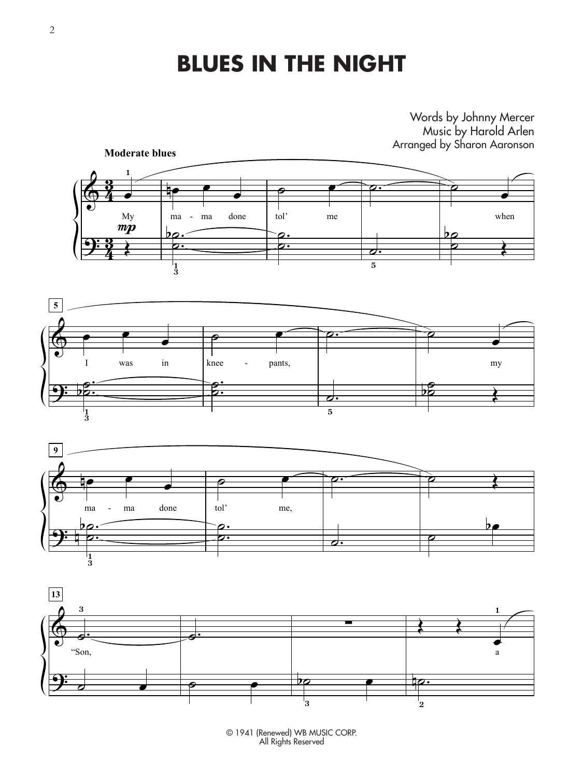### **BLUES IN THE NIGHT**

#### Words by Johnny Mercer Music by Harold Arlen Arranged by Sharon Aaronson









© 1941 (Renewed) WB MUSIC CORP. All Rights Reserved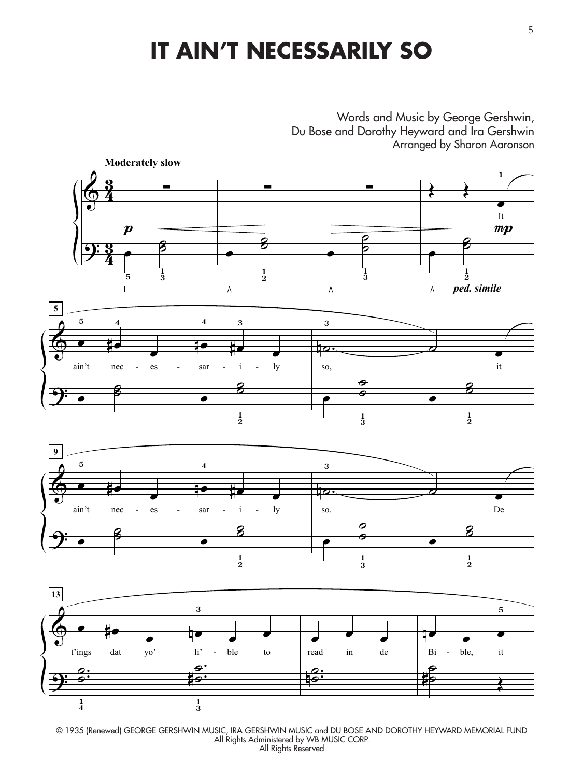# **IT AIN'T NECESSARILY SO**

Words and Music by George Gershwin, Du Bose and Dorothy Heyward and Ira Gershwin Arranged by Sharon Aaronson



© 1935 (Renewed) GEORGE GERSHWIN MUSIC, IRA GERSHWIN MUSIC and DU BOSE AND DOROTHY HEYWARD MEMORIAL FUND All Rights Administered by WB MUSIC CORP. All Rights Reserved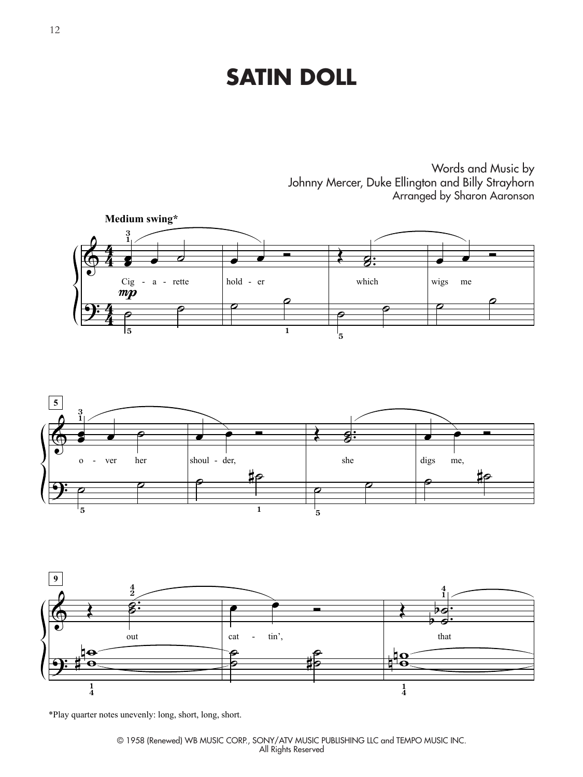#### **SATIN DOLL**

Words and Music by Johnny Mercer, Duke Ellington and Billy Strayhorn Arranged by Sharon Aaronson





![](_page_2_Figure_4.jpeg)

\*Play quarter notes unevenly: long, short, long, short.